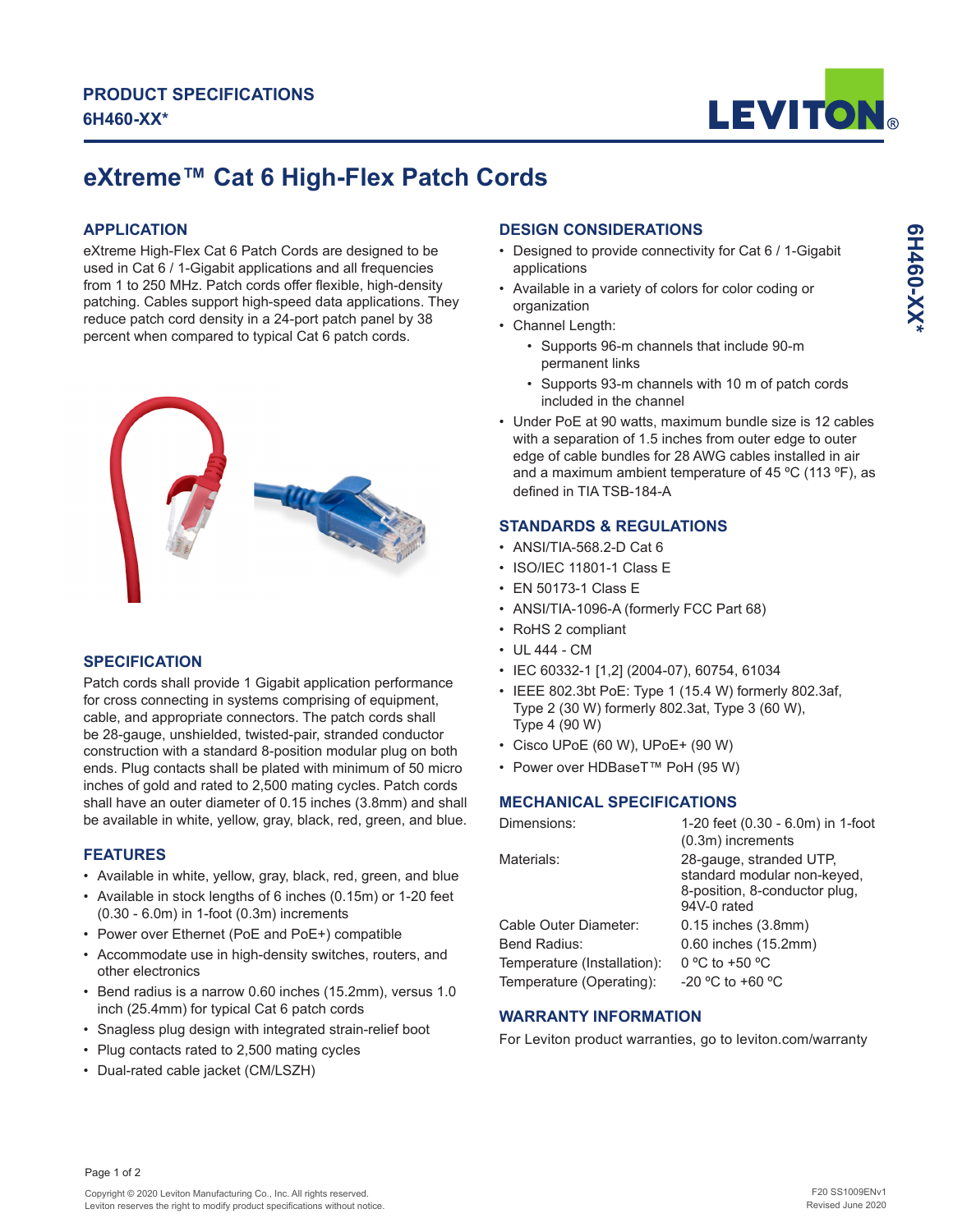

# **eXtreme™ Cat 6 High-Flex Patch Cords**

## **APPLICATION**

eXtreme High-Flex Cat 6 Patch Cords are designed to be used in Cat 6 / 1-Gigabit applications and all frequencies from 1 to 250 MHz. Patch cords offer flexible, high-density patching. Cables support high-speed data applications. They reduce patch cord density in a 24-port patch panel by 38 percent when compared to typical Cat 6 patch cords.



# **SPECIFICATION**

Patch cords shall provide 1 Gigabit application performance for cross connecting in systems comprising of equipment, cable, and appropriate connectors. The patch cords shall be 28-gauge, unshielded, twisted-pair, stranded conductor construction with a standard 8-position modular plug on both ends. Plug contacts shall be plated with minimum of 50 micro inches of gold and rated to 2,500 mating cycles. Patch cords shall have an outer diameter of 0.15 inches (3.8mm) and shall be available in white, yellow, gray, black, red, green, and blue.

### **FEATURES**

- Available in white, yellow, gray, black, red, green, and blue
- Available in stock lengths of 6 inches (0.15m) or 1-20 feet (0.30 - 6.0m) in 1-foot (0.3m) increments
- Power over Ethernet (PoE and PoE+) compatible
- Accommodate use in high-density switches, routers, and other electronics
- Bend radius is a narrow 0.60 inches (15.2mm), versus 1.0 inch (25.4mm) for typical Cat 6 patch cords
- Snagless plug design with integrated strain-relief boot
- Plug contacts rated to 2,500 mating cycles
- Dual-rated cable jacket (CM/LSZH)

## **DESIGN CONSIDERATIONS**

- Designed to provide connectivity for Cat 6 / 1-Gigabit applications
- Available in a variety of colors for color coding or organization
- Channel Length:
	- Supports 96-m channels that include 90-m permanent links
	- Supports 93-m channels with 10 m of patch cords included in the channel
- Under PoE at 90 watts, maximum bundle size is 12 cables with a separation of 1.5 inches from outer edge to outer edge of cable bundles for 28 AWG cables installed in air and a maximum ambient temperature of 45  $^{\circ}$ C (113  $^{\circ}$ F), as defined in TIA TSB-184-A

# **STANDARDS & REGULATIONS**

- ANSI/TIA-568.2-D Cat 6
- ISO/IEC 11801-1 Class E
- EN 50173-1 Class E
- ANSI/TIA-1096-A (formerly FCC Part 68)
- RoHS 2 compliant
- UL 444 CM
- IEC 60332-1 [1,2] (2004-07), 60754, 61034
- IEEE 802.3bt PoE: Type 1 (15.4 W) formerly 802.3af, Type 2 (30 W) formerly 802.3at, Type 3 (60 W), Type 4 (90 W)
- Cisco UPoE (60 W), UPoE+ (90 W)
- Power over HDBaseT™ PoH (95 W)

### **MECHANICAL SPECIFICATIONS**

| Dimensions:                 | 1-20 feet (0.30 - 6.0m) in 1-foot                                                                      |  |  |  |  |
|-----------------------------|--------------------------------------------------------------------------------------------------------|--|--|--|--|
|                             | (0.3m) increments                                                                                      |  |  |  |  |
| Materials:                  | 28-gauge, stranded UTP,<br>standard modular non-keyed,<br>8-position, 8-conductor plug,<br>94V-0 rated |  |  |  |  |
| Cable Outer Diameter:       | $0.15$ inches $(3.8$ mm $)$                                                                            |  |  |  |  |
| Bend Radius:                | 0.60 inches (15.2mm)                                                                                   |  |  |  |  |
| Temperature (Installation): | 0 °C to +50 °C                                                                                         |  |  |  |  |
| Temperature (Operating):    | $-20$ °C to +60 °C                                                                                     |  |  |  |  |

### **WARRANTY INFORMATION**

For Leviton product warranties, go to leviton.com/warranty